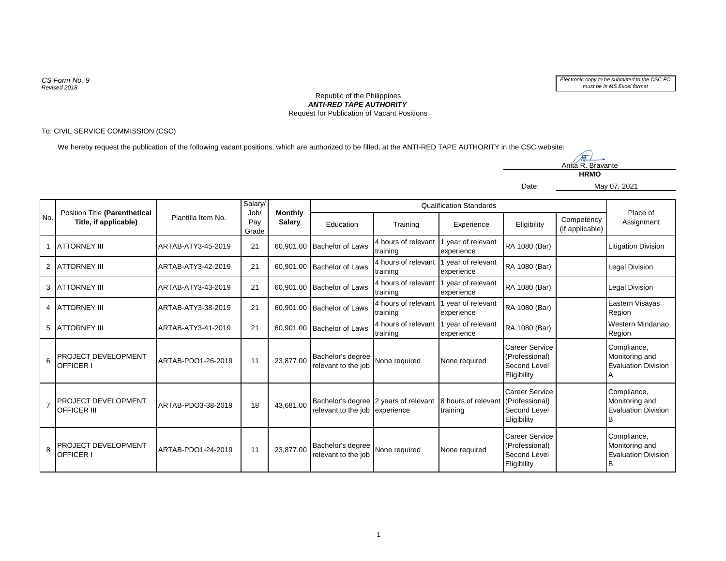*CS Form No. 9 Revised 2018*



## *ANTI-RED TAPE AUTHORITY* Republic of the Philippines Request for Publication of Vacant Positions

## To: CIVIL SERVICE COMMISSION (CSC)

We hereby request the publication of the following vacant positions, which are authorized to be filled, at the ANTI-RED TAPE AUTHORITY in the CSC website:

TT Anita R. Bravante **HRMO**

May 07, 2021

Date:

| No.            | Position Title (Parenthetical<br>Title, if applicable) | Plantilla Item No. | Salary/<br>Job/<br>Pay<br>Grade | <b>Monthly</b><br>Salary | Qualification Standards                  |                                                    |                                  |                                                                        |                               | Place of                                                    |
|----------------|--------------------------------------------------------|--------------------|---------------------------------|--------------------------|------------------------------------------|----------------------------------------------------|----------------------------------|------------------------------------------------------------------------|-------------------------------|-------------------------------------------------------------|
|                |                                                        |                    |                                 |                          | Education                                | Training                                           | Experience                       | Eligibility                                                            | Competency<br>(if applicable) | Assignment                                                  |
|                | <b>ATTORNEY III</b>                                    | ARTAB-ATY3-45-2019 | 21                              |                          | 60,901.00 Bachelor of Laws               | 4 hours of relevant<br>training                    | 1 year of relevant<br>experience | RA 1080 (Bar)                                                          |                               | Litigation Division                                         |
| 2              | <b>ATTORNEY III</b>                                    | ARTAB-ATY3-42-2019 | 21                              |                          | 60,901.00 Bachelor of Laws               | 4 hours of relevant 1 year of relevant<br>training | experience                       | RA 1080 (Bar)                                                          |                               | Legal Division                                              |
| 3              | <b>LATTORNEY III</b>                                   | ARTAB-ATY3-43-2019 | 21                              |                          | 60,901.00 Bachelor of Laws               | 4 hours of relevant<br>training                    | 1 year of relevant<br>experience | RA 1080 (Bar)                                                          |                               | <b>Legal Division</b>                                       |
| 4              | <b>ATTORNEY III</b>                                    | ARTAB-ATY3-38-2019 | 21                              |                          | 60,901.00 Bachelor of Laws               | 4 hours of relevant<br>training                    | 1 year of relevant<br>experience | RA 1080 (Bar)                                                          |                               | Eastern Visayas<br>Region                                   |
| 5              | <b>ATTORNEY III</b>                                    | ARTAB-ATY3-41-2019 | 21                              |                          | 60,901.00 Bachelor of Laws               | 4 hours of relevant 1 year of relevant<br>training | experience                       | RA 1080 (Bar)                                                          |                               | Western Mindanao<br>Region                                  |
| 6              | PROJECT DEVELOPMENT<br>OFFICER I                       | ARTAB-PDO1-26-2019 | 11                              | 23.877.00                | Bachelor's degree<br>relevant to the job | None required                                      | None required                    | <b>Career Service</b><br>(Professional)<br>Second Level<br>Eligibility |                               | Compliance,<br>Monitoring and<br><b>Evaluation Division</b> |
| $\overline{7}$ | PROJECT DEVELOPMENT<br><b>OFFICER III</b>              | ARTAB-PDO3-38-2019 | 18                              | 43,681.00                | relevant to the job experience           | Bachelor's degree 2 years of relevant              | 8 hours of relevant<br>training  | <b>Career Service</b><br>(Professional)<br>Second Level<br>Eligibility |                               | Compliance,<br>Monitoring and<br><b>Evaluation Division</b> |
| 8              | PROJECT DEVELOPMENT<br>OFFICER I                       | ARTAB-PDO1-24-2019 | 11                              | 23,877.00                | Bachelor's degree<br>relevant to the job | None required                                      | None required                    | <b>Career Service</b><br>(Professional)<br>Second Level<br>Eligibility |                               | Compliance,<br>Monitoring and<br><b>Evaluation Division</b> |